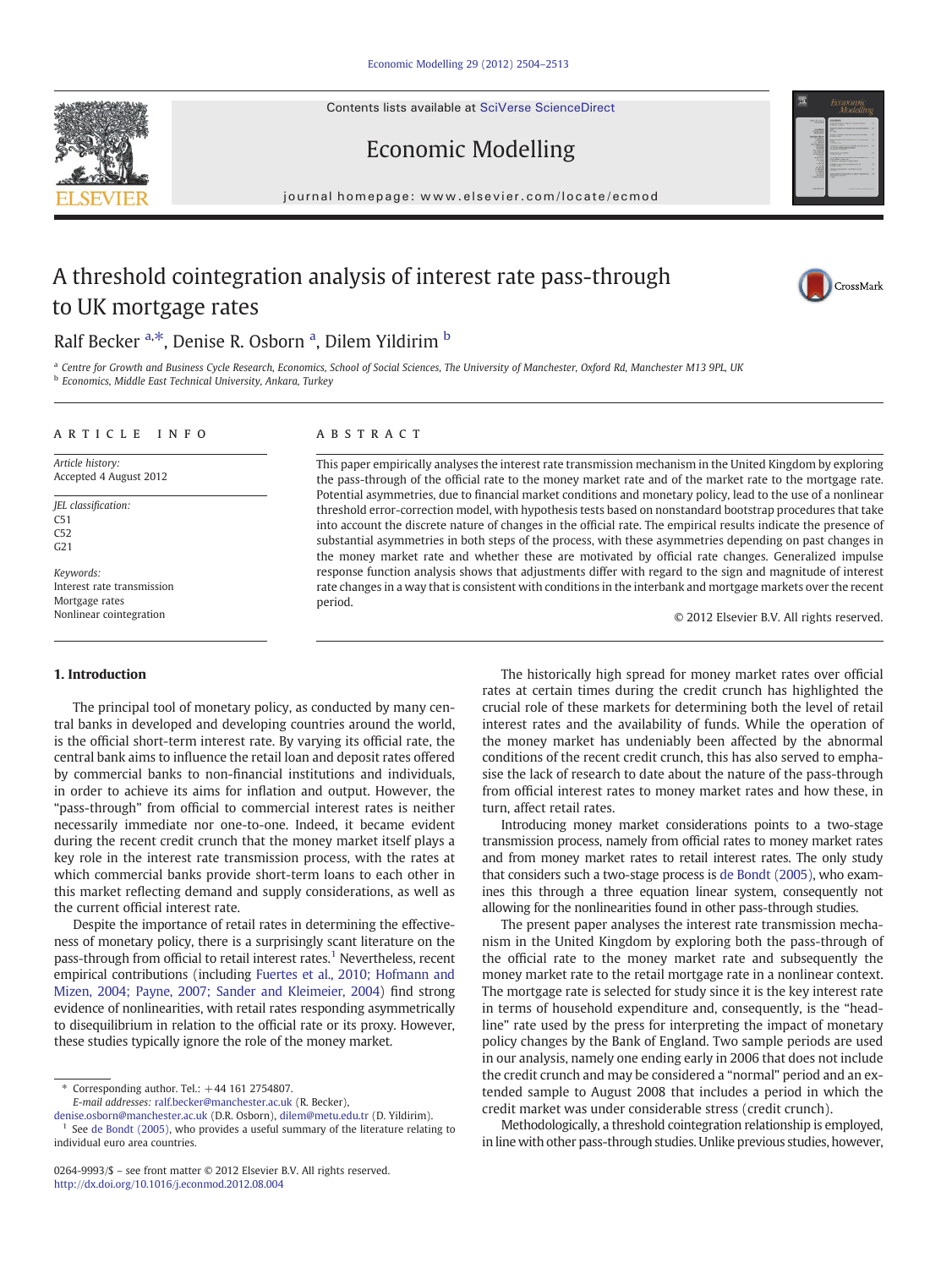Contents lists available at [SciVerse ScienceDirect](http://www.sciencedirect.com/science/journal/02649993)





# Economic Modelling

journal homepage: www.elsevier.com/locate/ecmod

# A threshold cointegration analysis of interest rate pass-through to UK mortgage rates



## Ralf Becker <sup>a,\*</sup>, Denise R. Osborn <sup>a</sup>, Dilem Yildirim <sup>b</sup>

a Centre for Growth and Business Cycle Research, Economics, School of Social Sciences, The University of Manchester, Oxford Rd, Manchester M13 9PL, UK **b** Economics, Middle East Technical University, Ankara, Turkey

#### article info abstract

Mortgage rates<br>Nonlinear cointegration

Article history:<br>Article history: This paper empirically analyses the interest rate transmission mechanism in the United Kingdom by exploring<br>Accepted 4 August 2012 for the mortgage rate. the pass-through of the official rate to the money market rate and of the market rate to the mortgage rate.<br>Potential asymmetries, due to financial market conditions and monetary policy, lead to the use of a nonlinear *JEL classification:*<br>
threshold error-correction model, with hypothesis tests based on nonstandard bootstrap procedures that take<br>
into account the discrete nature of changes in the official rate. The empirical results in the money market rate and whether these are motivated by official rate changes. Generalized impulse Keywords: **response function analysis shows that adjustments differ with regard to the sign and magnitude of interest** Interest rate transmission rate changes in a way that is consistent with conditions in the interbank and mortgage markets over the recent

© 2012 Elsevier B.V. All rights reserved.

#### 1. Introduction

The principal tool of monetary policy, as conducted by many central banks in developed and developing countries around the world, is the official short-term interest rate. By varying its official rate, the central bank aims to influence the retail loan and deposit rates offered by commercial banks to non-financial institutions and individuals, in order to achieve its aims for inflation and output. However, the "pass-through" from official to commercial interest rates is neither necessarily immediate nor one-to-one. Indeed, it became evident during the recent credit crunch that the money market itself plays a key role in the interest rate transmission process, with the rates at which commercial banks provide short-term loans to each other in this market reflecting demand and supply considerations, as well as the current official interest rate.

Despite the importance of retail rates in determining the effectiveness of monetary policy, there is a surprisingly scant literature on the pass-through from official to retail interest rates.<sup>1</sup> Nevertheless, recent empirical contributions (including [Fuertes et al., 2010; Hofmann and](#page-9-0) [Mizen, 2004; Payne, 2007; Sander and Kleimeier, 2004\)](#page-9-0) find strong evidence of nonlinearities, with retail rates responding asymmetrically to disequilibrium in relation to the official rate or its proxy. However, these studies typically ignore the role of the money market.

The historically high spread for money market rates over official rates at certain times during the credit crunch has highlighted the crucial role of these markets for determining both the level of retail interest rates and the availability of funds. While the operation of the money market has undeniably been affected by the abnormal conditions of the recent credit crunch, this has also served to emphasise the lack of research to date about the nature of the pass-through from official interest rates to money market rates and how these, in turn, affect retail rates.

Introducing money market considerations points to a two-stage transmission process, namely from official rates to money market rates and from money market rates to retail interest rates. The only study that considers such a two-stage process is [de Bondt \(2005\),](#page-9-0) who examines this through a three equation linear system, consequently not allowing for the nonlinearities found in other pass-through studies.

The present paper analyses the interest rate transmission mechanism in the United Kingdom by exploring both the pass-through of the official rate to the money market rate and subsequently the money market rate to the retail mortgage rate in a nonlinear context. The mortgage rate is selected for study since it is the key interest rate in terms of household expenditure and, consequently, is the "headline" rate used by the press for interpreting the impact of monetary policy changes by the Bank of England. Two sample periods are used in our analysis, namely one ending early in 2006 that does not include the credit crunch and may be considered a "normal" period and an extended sample to August 2008 that includes a period in which the credit market was under considerable stress (credit crunch).

Methodologically, a threshold cointegration relationship is employed, in line with other pass-through studies. Unlike previous studies, however,

 $*$  Corresponding author. Tel.:  $+44$  161 2754807.

E-mail addresses: [ralf.becker@manchester.ac.uk](mailto:ralf.becker@manchester.ac.uk) (R. Becker),

[denise.osborn@manchester.ac.uk](mailto:denise.osborn@manchester.ac.uk) (D.R. Osborn), [dilem@metu.edu.tr](mailto:dilem@metu.edu.tr) (D. Yildirim).  $1$  See [de Bondt \(2005\),](#page-9-0) who provides a useful summary of the literature relating to individual euro area countries.

<sup>0264-9993/\$</sup> – see front matter © 2012 Elsevier B.V. All rights reserved. <http://dx.doi.org/10.1016/j.econmod.2012.08.004>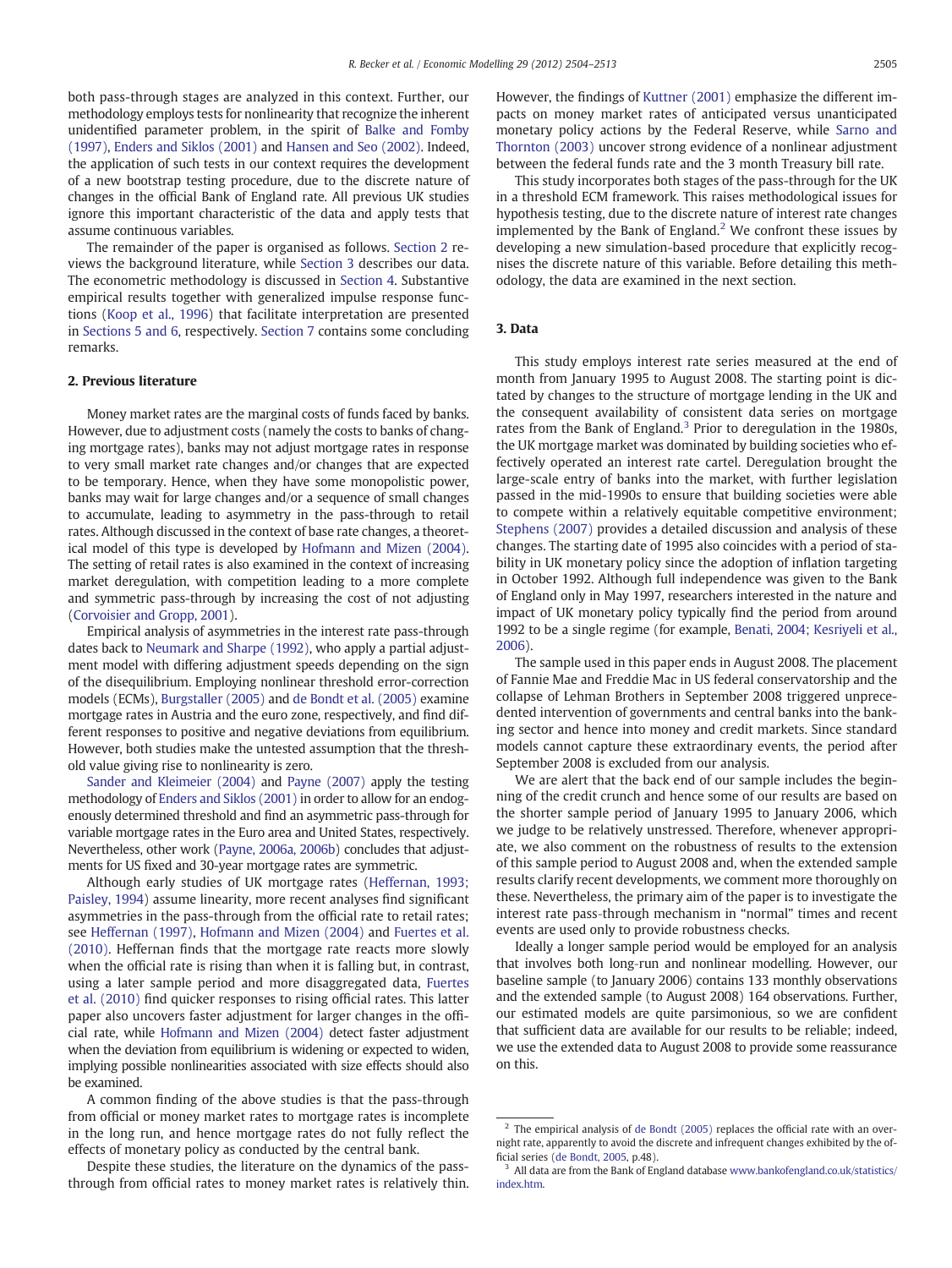<span id="page-1-0"></span>both pass-through stages are analyzed in this context. Further, our methodology employs tests for nonlinearity that recognize the inherent unidentified parameter problem, in the spirit of [Balke and Fomby](#page-9-0) [\(1997\)](#page-9-0), [Enders and Siklos \(2001\)](#page-9-0) and [Hansen and Seo \(2002\)](#page-9-0). Indeed, the application of such tests in our context requires the development of a new bootstrap testing procedure, due to the discrete nature of changes in the official Bank of England rate. All previous UK studies ignore this important characteristic of the data and apply tests that assume continuous variables.

The remainder of the paper is organised as follows. Section 2 reviews the background literature, while Section 3 describes our data. The econometric methodology is discussed in [Section 4.](#page-2-0) Substantive empirical results together with generalized impulse response functions [\(Koop et al., 1996](#page-9-0)) that facilitate interpretation are presented in [Sections 5 and 6,](#page-5-0) respectively. [Section 7](#page-9-0) contains some concluding remarks.

#### 2. Previous literature

Money market rates are the marginal costs of funds faced by banks. However, due to adjustment costs (namely the costs to banks of changing mortgage rates), banks may not adjust mortgage rates in response to very small market rate changes and/or changes that are expected to be temporary. Hence, when they have some monopolistic power, banks may wait for large changes and/or a sequence of small changes to accumulate, leading to asymmetry in the pass-through to retail rates. Although discussed in the context of base rate changes, a theoretical model of this type is developed by [Hofmann and Mizen \(2004\).](#page-9-0) The setting of retail rates is also examined in the context of increasing market deregulation, with competition leading to a more complete and symmetric pass-through by increasing the cost of not adjusting [\(Corvoisier and Gropp, 2001](#page-9-0)).

Empirical analysis of asymmetries in the interest rate pass-through dates back to [Neumark and Sharpe \(1992\),](#page-9-0) who apply a partial adjustment model with differing adjustment speeds depending on the sign of the disequilibrium. Employing nonlinear threshold error-correction models (ECMs), [Burgstaller \(2005\)](#page-9-0) and [de Bondt et al. \(2005\)](#page-9-0) examine mortgage rates in Austria and the euro zone, respectively, and find different responses to positive and negative deviations from equilibrium. However, both studies make the untested assumption that the threshold value giving rise to nonlinearity is zero.

[Sander and Kleimeier \(2004\)](#page-9-0) and [Payne \(2007\)](#page-9-0) apply the testing methodology of [Enders and Siklos \(2001\)](#page-9-0) in order to allow for an endogenously determined threshold and find an asymmetric pass-through for variable mortgage rates in the Euro area and United States, respectively. Nevertheless, other work [\(Payne, 2006a, 2006b\)](#page-9-0) concludes that adjustments for US fixed and 30-year mortgage rates are symmetric.

Although early studies of UK mortgage rates [\(Heffernan, 1993;](#page-9-0) [Paisley, 1994\)](#page-9-0) assume linearity, more recent analyses find significant asymmetries in the pass-through from the official rate to retail rates; see [Heffernan \(1997\),](#page-9-0) [Hofmann and Mizen \(2004\)](#page-9-0) and [Fuertes et al.](#page-9-0) [\(2010\).](#page-9-0) Heffernan finds that the mortgage rate reacts more slowly when the official rate is rising than when it is falling but, in contrast, using a later sample period and more disaggregated data, [Fuertes](#page-9-0) [et al. \(2010\)](#page-9-0) find quicker responses to rising official rates. This latter paper also uncovers faster adjustment for larger changes in the official rate, while [Hofmann and Mizen \(2004\)](#page-9-0) detect faster adjustment when the deviation from equilibrium is widening or expected to widen, implying possible nonlinearities associated with size effects should also be examined.

A common finding of the above studies is that the pass-through from official or money market rates to mortgage rates is incomplete in the long run, and hence mortgage rates do not fully reflect the effects of monetary policy as conducted by the central bank.

Despite these studies, the literature on the dynamics of the passthrough from official rates to money market rates is relatively thin. However, the findings of [Kuttner \(2001\)](#page-9-0) emphasize the different impacts on money market rates of anticipated versus unanticipated monetary policy actions by the Federal Reserve, while [Sarno and](#page-9-0) [Thornton \(2003\)](#page-9-0) uncover strong evidence of a nonlinear adjustment between the federal funds rate and the 3 month Treasury bill rate.

This study incorporates both stages of the pass-through for the UK in a threshold ECM framework. This raises methodological issues for hypothesis testing, due to the discrete nature of interest rate changes implemented by the Bank of England. $<sup>2</sup>$  We confront these issues by</sup> developing a new simulation-based procedure that explicitly recognises the discrete nature of this variable. Before detailing this methodology, the data are examined in the next section.

#### 3. Data

This study employs interest rate series measured at the end of month from January 1995 to August 2008. The starting point is dictated by changes to the structure of mortgage lending in the UK and the consequent availability of consistent data series on mortgage rates from the Bank of England.<sup>3</sup> Prior to deregulation in the 1980s, the UK mortgage market was dominated by building societies who effectively operated an interest rate cartel. Deregulation brought the large-scale entry of banks into the market, with further legislation passed in the mid-1990s to ensure that building societies were able to compete within a relatively equitable competitive environment; [Stephens \(2007\)](#page-9-0) provides a detailed discussion and analysis of these changes. The starting date of 1995 also coincides with a period of stability in UK monetary policy since the adoption of inflation targeting in October 1992. Although full independence was given to the Bank of England only in May 1997, researchers interested in the nature and impact of UK monetary policy typically find the period from around 1992 to be a single regime (for example, [Benati, 2004; Kesriyeli et al.,](#page-9-0) [2006](#page-9-0)).

The sample used in this paper ends in August 2008. The placement of Fannie Mae and Freddie Mac in US federal conservatorship and the collapse of Lehman Brothers in September 2008 triggered unprecedented intervention of governments and central banks into the banking sector and hence into money and credit markets. Since standard models cannot capture these extraordinary events, the period after September 2008 is excluded from our analysis.

We are alert that the back end of our sample includes the beginning of the credit crunch and hence some of our results are based on the shorter sample period of January 1995 to January 2006, which we judge to be relatively unstressed. Therefore, whenever appropriate, we also comment on the robustness of results to the extension of this sample period to August 2008 and, when the extended sample results clarify recent developments, we comment more thoroughly on these. Nevertheless, the primary aim of the paper is to investigate the interest rate pass‐through mechanism in "normal" times and recent events are used only to provide robustness checks.

Ideally a longer sample period would be employed for an analysis that involves both long‐run and nonlinear modelling. However, our baseline sample (to January 2006) contains 133 monthly observations and the extended sample (to August 2008) 164 observations. Further, our estimated models are quite parsimonious, so we are confident that sufficient data are available for our results to be reliable; indeed, we use the extended data to August 2008 to provide some reassurance on this.

 $<sup>2</sup>$  The empirical analysis of [de Bondt \(2005\)](#page-9-0) replaces the official rate with an over-</sup> night rate, apparently to avoid the discrete and infrequent changes exhibited by the official series ([de Bondt, 2005](#page-9-0), p.48).

<sup>&</sup>lt;sup>3</sup> All data are from the Bank of England database [www.bankofengland.co.uk/statistics/](http://www.bankofengland.co.uk/statistics/index.htm) [index.htm.](http://www.bankofengland.co.uk/statistics/index.htm)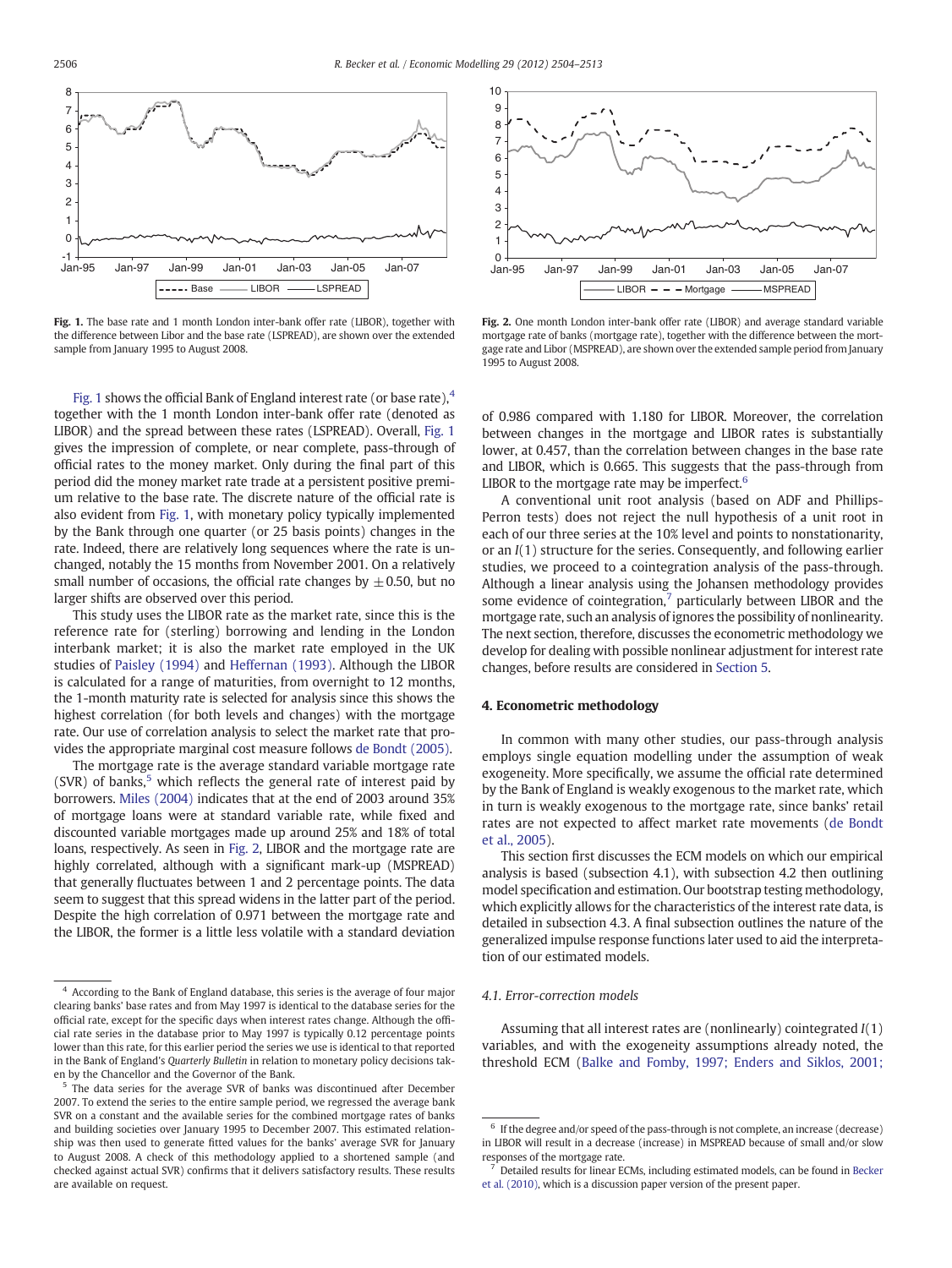<span id="page-2-0"></span>

Fig. 1. The base rate and 1 month London inter-bank offer rate (LIBOR), together with the difference between Libor and the base rate (LSPREAD), are shown over the extended sample from January 1995 to August 2008.

Fig. 1 shows the official Bank of England interest rate (or base rate),  $4\overline{4}$ together with the 1 month London inter-bank offer rate (denoted as LIBOR) and the spread between these rates (LSPREAD). Overall, Fig. 1 gives the impression of complete, or near complete, pass-through of official rates to the money market. Only during the final part of this period did the money market rate trade at a persistent positive premium relative to the base rate. The discrete nature of the official rate is also evident from Fig. 1, with monetary policy typically implemented by the Bank through one quarter (or 25 basis points) changes in the rate. Indeed, there are relatively long sequences where the rate is unchanged, notably the 15 months from November 2001. On a relatively small number of occasions, the official rate changes by  $\pm$  0.50, but no larger shifts are observed over this period.

This study uses the LIBOR rate as the market rate, since this is the reference rate for (sterling) borrowing and lending in the London interbank market; it is also the market rate employed in the UK studies of [Paisley \(1994\)](#page-9-0) and [Heffernan \(1993\)](#page-9-0). Although the LIBOR is calculated for a range of maturities, from overnight to 12 months, the 1-month maturity rate is selected for analysis since this shows the highest correlation (for both levels and changes) with the mortgage rate. Our use of correlation analysis to select the market rate that provides the appropriate marginal cost measure follows [de Bondt \(2005\)](#page-9-0).

The mortgage rate is the average standard variable mortgage rate (SVR) of banks, $5$  which reflects the general rate of interest paid by borrowers. [Miles \(2004\)](#page-9-0) indicates that at the end of 2003 around 35% of mortgage loans were at standard variable rate, while fixed and discounted variable mortgages made up around 25% and 18% of total loans, respectively. As seen in Fig. 2, LIBOR and the mortgage rate are highly correlated, although with a significant mark-up (MSPREAD) that generally fluctuates between 1 and 2 percentage points. The data seem to suggest that this spread widens in the latter part of the period. Despite the high correlation of 0.971 between the mortgage rate and the LIBOR, the former is a little less volatile with a standard deviation



Fig. 2. One month London inter-bank offer rate (LIBOR) and average standard variable mortgage rate of banks (mortgage rate), together with the difference between the mortgage rate and Libor (MSPREAD), are shown over the extended sample period from January 1995 to August 2008.

of 0.986 compared with 1.180 for LIBOR. Moreover, the correlation between changes in the mortgage and LIBOR rates is substantially lower, at 0.457, than the correlation between changes in the base rate and LIBOR, which is 0.665. This suggests that the pass-through from LIBOR to the mortgage rate may be imperfect. $6$ 

A conventional unit root analysis (based on ADF and Phillips-Perron tests) does not reject the null hypothesis of a unit root in each of our three series at the 10% level and points to nonstationarity, or an I(1) structure for the series. Consequently, and following earlier studies, we proceed to a cointegration analysis of the pass-through. Although a linear analysis using the Johansen methodology provides some evidence of cointegration, $7$  particularly between LIBOR and the mortgage rate, such an analysis of ignores the possibility of nonlinearity. The next section, therefore, discusses the econometric methodology we develop for dealing with possible nonlinear adjustment for interest rate changes, before results are considered in [Section 5.](#page-5-0)

#### 4. Econometric methodology

In common with many other studies, our pass-through analysis employs single equation modelling under the assumption of weak exogeneity. More specifically, we assume the official rate determined by the Bank of England is weakly exogenous to the market rate, which in turn is weakly exogenous to the mortgage rate, since banks' retail rates are not expected to affect market rate movements [\(de Bondt](#page-9-0) [et al., 2005\)](#page-9-0).

This section first discusses the ECM models on which our empirical analysis is based (subsection 4.1), with subsection 4.2 then outlining model specification and estimation. Our bootstrap testing methodology, which explicitly allows for the characteristics of the interest rate data, is detailed in subsection 4.3. A final subsection outlines the nature of the generalized impulse response functions later used to aid the interpretation of our estimated models.

#### 4.1. Error-correction models

Assuming that all interest rates are (nonlinearly) cointegrated  $I(1)$ variables, and with the exogeneity assumptions already noted, the threshold ECM [\(Balke and Fomby, 1997; Enders and Siklos, 2001;](#page-9-0)

<sup>4</sup> According to the Bank of England database, this series is the average of four major clearing banks' base rates and from May 1997 is identical to the database series for the official rate, except for the specific days when interest rates change. Although the official rate series in the database prior to May 1997 is typically 0.12 percentage points lower than this rate, for this earlier period the series we use is identical to that reported in the Bank of England's Quarterly Bulletin in relation to monetary policy decisions taken by the Chancellor and the Governor of the Bank.

The data series for the average SVR of banks was discontinued after December 2007. To extend the series to the entire sample period, we regressed the average bank SVR on a constant and the available series for the combined mortgage rates of banks and building societies over January 1995 to December 2007. This estimated relationship was then used to generate fitted values for the banks' average SVR for January to August 2008. A check of this methodology applied to a shortened sample (and checked against actual SVR) confirms that it delivers satisfactory results. These results are available on request.

 $6 \text{ If the degree and/or speed of the pass-through is not complete, an increase (decrease) }$ in LIBOR will result in a decrease (increase) in MSPREAD because of small and/or slow responses of the mortgage rate.

Detailed results for linear ECMs, including estimated models, can be found in [Becker](#page-9-0) [et al. \(2010\),](#page-9-0) which is a discussion paper version of the present paper.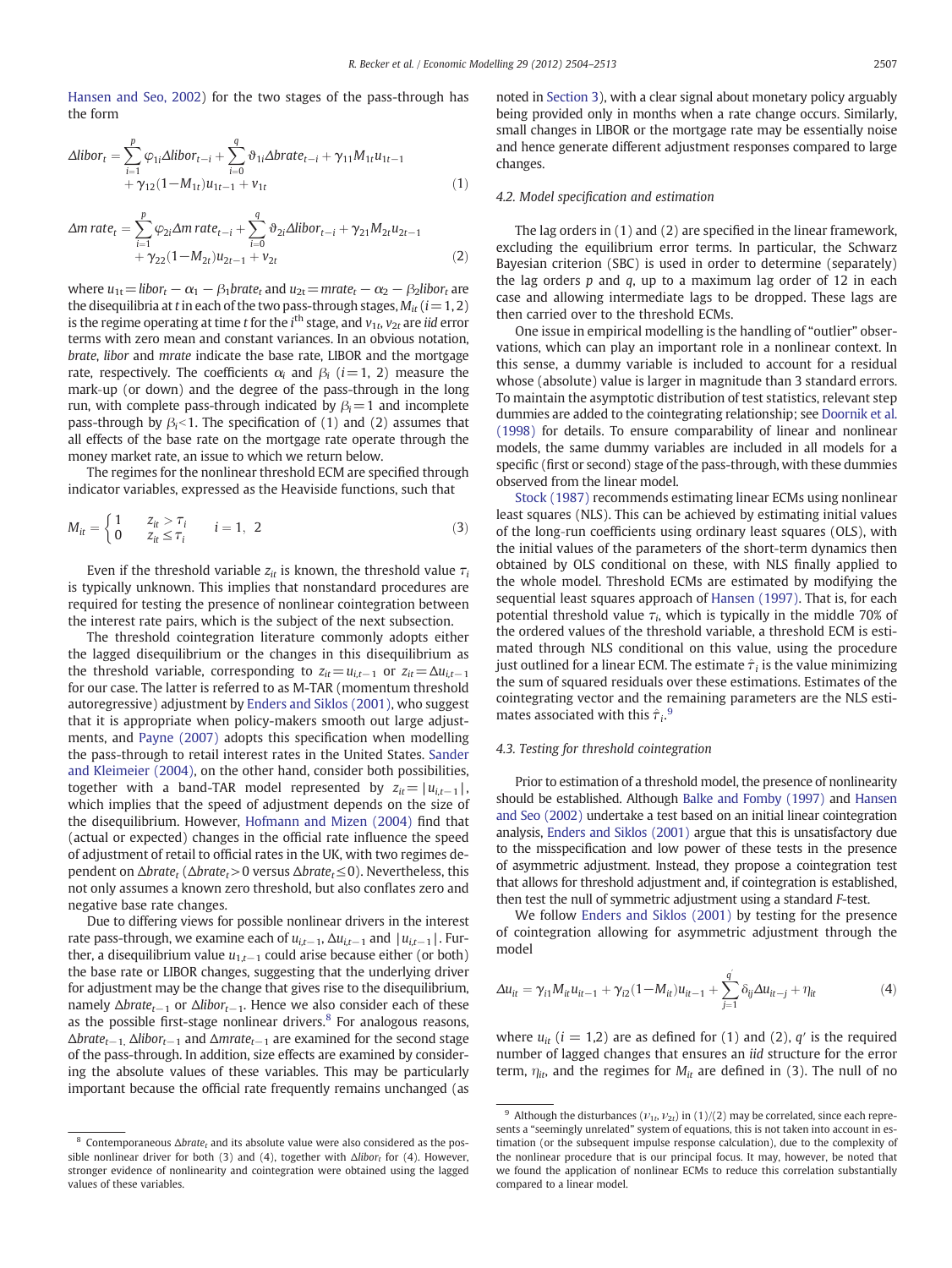<span id="page-3-0"></span>[Hansen and Seo, 2002\)](#page-9-0) for the two stages of the pass-through has the form

$$
\Delta libor_{t} = \sum_{i=1}^{p} \varphi_{1i} \Delta libor_{t-i} + \sum_{i=0}^{q} \vartheta_{1i} \Delta brate_{t-i} + \gamma_{11} M_{1t} u_{1t-1} + \gamma_{12} (1 - M_{1t}) u_{1t-1} + \nu_{1t}
$$
\n(1)

$$
\Delta m \, rate_t = \sum_{i=1}^{p} \varphi_{2i} \Delta m \, rate_{t-i} + \sum_{i=0}^{q} \vartheta_{2i} \Delta libor_{t-i} + \gamma_{21} M_{2t} u_{2t-1} + \gamma_{22} (1 - M_{2t}) u_{2t-1} + \nu_{2t}
$$
\n
$$
(2)
$$

where  $u_{1t} =$ libor<sub>t</sub>  $-\alpha_1 - \beta_1$ brate<sub>t</sub> and  $u_{2t} = m$ rate<sub>t</sub>  $-\alpha_2 - \beta_2$ libor<sub>t</sub> are the disequilibria at t in each of the two pass-through stages,  $M_{it}$  ( $i=1, 2$ ) is the regime operating at time  $t$  for the  $i^{\text{th}}$  stage, and  $v_{1t}$ ,  $v_{2t}$  are  $iid$  error terms with zero mean and constant variances. In an obvious notation, brate, libor and mrate indicate the base rate, LIBOR and the mortgage rate, respectively. The coefficients  $\alpha_i$  and  $\beta_i$  (i=1, 2) measure the mark‐up (or down) and the degree of the pass-through in the long run, with complete pass-through indicated by  $\beta_i=1$  and incomplete pass-through by  $\beta_i$ <1. The specification of (1) and (2) assumes that all effects of the base rate on the mortgage rate operate through the money market rate, an issue to which we return below.

The regimes for the nonlinear threshold ECM are specified through indicator variables, expressed as the Heaviside functions, such that

$$
M_{it} = \begin{cases} 1 & z_{it} > \tau_i \\ 0 & z_{it} \le \tau_i \end{cases} \qquad i = 1, 2
$$
 (3)

Even if the threshold variable  $z_{it}$  is known, the threshold value  $\tau_i$ is typically unknown. This implies that nonstandard procedures are required for testing the presence of nonlinear cointegration between the interest rate pairs, which is the subject of the next subsection.

The threshold cointegration literature commonly adopts either the lagged disequilibrium or the changes in this disequilibrium as the threshold variable, corresponding to  $z_{it}=u_{i,t-1}$  or  $z_{it}=\Delta u_{i,t-1}$ for our case. The latter is referred to as M-TAR (momentum threshold autoregressive) adjustment by [Enders and Siklos \(2001\),](#page-9-0) who suggest that it is appropriate when policy-makers smooth out large adjustments, and [Payne \(2007\)](#page-9-0) adopts this specification when modelling the pass-through to retail interest rates in the United States. [Sander](#page-9-0) [and Kleimeier \(2004\)](#page-9-0), on the other hand, consider both possibilities, together with a band-TAR model represented by  $z_{it} = |u_{i,t-1}|$ , which implies that the speed of adjustment depends on the size of the disequilibrium. However, [Hofmann and Mizen \(2004\)](#page-9-0) find that (actual or expected) changes in the official rate influence the speed of adjustment of retail to official rates in the UK, with two regimes dependent on  $Δbrate_t (Δbrate_t > 0$  versus  $Δbrate_t ≤ 0$ ). Nevertheless, this not only assumes a known zero threshold, but also conflates zero and negative base rate changes.

Due to differing views for possible nonlinear drivers in the interest rate pass-through, we examine each of  $u_{i,t-1}$ ,  $\Delta u_{i,t-1}$  and  $|u_{i,t-1}|$ . Further, a disequilibrium value  $u_{1,t-1}$  could arise because either (or both) the base rate or LIBOR changes, suggesting that the underlying driver for adjustment may be the change that gives rise to the disequilibrium, namely  $\Delta brate_{t-1}$  or  $\Delta libor_{t-1}$ . Hence we also consider each of these as the possible first-stage nonlinear drivers. $8$  For analogous reasons,  $\Delta brate_{t-1}$ ,  $\Delta libor_{t-1}$  and  $\Delta mrate_{t-1}$  are examined for the second stage of the pass-through. In addition, size effects are examined by considering the absolute values of these variables. This may be particularly important because the official rate frequently remains unchanged (as noted in [Section 3\)](#page-1-0), with a clear signal about monetary policy arguably being provided only in months when a rate change occurs. Similarly, small changes in LIBOR or the mortgage rate may be essentially noise and hence generate different adjustment responses compared to large changes.

#### 4.2. Model specification and estimation

The lag orders in (1) and (2) are specified in the linear framework, excluding the equilibrium error terms. In particular, the Schwarz Bayesian criterion (SBC) is used in order to determine (separately) the lag orders  $p$  and  $q$ , up to a maximum lag order of 12 in each case and allowing intermediate lags to be dropped. These lags are then carried over to the threshold ECMs.

One issue in empirical modelling is the handling of "outlier" observations, which can play an important role in a nonlinear context. In this sense, a dummy variable is included to account for a residual whose (absolute) value is larger in magnitude than 3 standard errors. To maintain the asymptotic distribution of test statistics, relevant step dummies are added to the cointegrating relationship; see [Doornik et al.](#page-9-0) [\(1998\)](#page-9-0) for details. To ensure comparability of linear and nonlinear models, the same dummy variables are included in all models for a specific (first or second) stage of the pass-through, with these dummies observed from the linear model.

[Stock \(1987\)](#page-9-0) recommends estimating linear ECMs using nonlinear least squares (NLS). This can be achieved by estimating initial values of the long‐run coefficients using ordinary least squares (OLS), with the initial values of the parameters of the short-term dynamics then obtained by OLS conditional on these, with NLS finally applied to the whole model. Threshold ECMs are estimated by modifying the sequential least squares approach of [Hansen \(1997\).](#page-9-0) That is, for each potential threshold value  $\tau_i$ , which is typically in the middle 70% of the ordered values of the threshold variable, a threshold ECM is estimated through NLS conditional on this value, using the procedure just outlined for a linear ECM. The estimate  $\hat{\tau}_i$  is the value minimizing the sum of squared residuals over these estimations. Estimates of the cointegrating vector and the remaining parameters are the NLS estimates associated with this  $\hat{\tau}_i$ .<sup>9</sup>

#### 4.3. Testing for threshold cointegration

Prior to estimation of a threshold model, the presence of nonlinearity should be established. Although [Balke and Fomby \(1997\)](#page-9-0) and [Hansen](#page-9-0) [and Seo \(2002\)](#page-9-0) undertake a test based on an initial linear cointegration analysis, [Enders and Siklos \(2001\)](#page-9-0) argue that this is unsatisfactory due to the misspecification and low power of these tests in the presence of asymmetric adjustment. Instead, they propose a cointegration test that allows for threshold adjustment and, if cointegration is established, then test the null of symmetric adjustment using a standard F-test.

We follow [Enders and Siklos \(2001\)](#page-9-0) by testing for the presence of cointegration allowing for asymmetric adjustment through the model

$$
\Delta u_{it} = \gamma_{i1} M_{it} u_{it-1} + \gamma_{i2} (1 - M_{it}) u_{it-1} + \sum_{j=1}^{q'} \delta_{ij} \Delta u_{it-j} + \eta_{it}
$$
(4)

where  $u_{it}$  ( $i = 1,2$ ) are as defined for (1) and (2), q' is the required number of lagged changes that ensures an iid structure for the error term,  $\eta_{it}$ , and the regimes for  $M_{it}$  are defined in (3). The null of no

Contemporaneous  $\Delta brate_t$  and its absolute value were also considered as the possible nonlinear driver for both (3) and (4), together with  $\Delta libor_t$  for (4). However, stronger evidence of nonlinearity and cointegration were obtained using the lagged values of these variables.

<sup>&</sup>lt;sup>9</sup> Although the disturbances ( $v_{1t}$ ,  $v_{2t}$ ) in (1)/(2) may be correlated, since each represents a "seemingly unrelated" system of equations, this is not taken into account in estimation (or the subsequent impulse response calculation), due to the complexity of the nonlinear procedure that is our principal focus. It may, however, be noted that we found the application of nonlinear ECMs to reduce this correlation substantially compared to a linear model.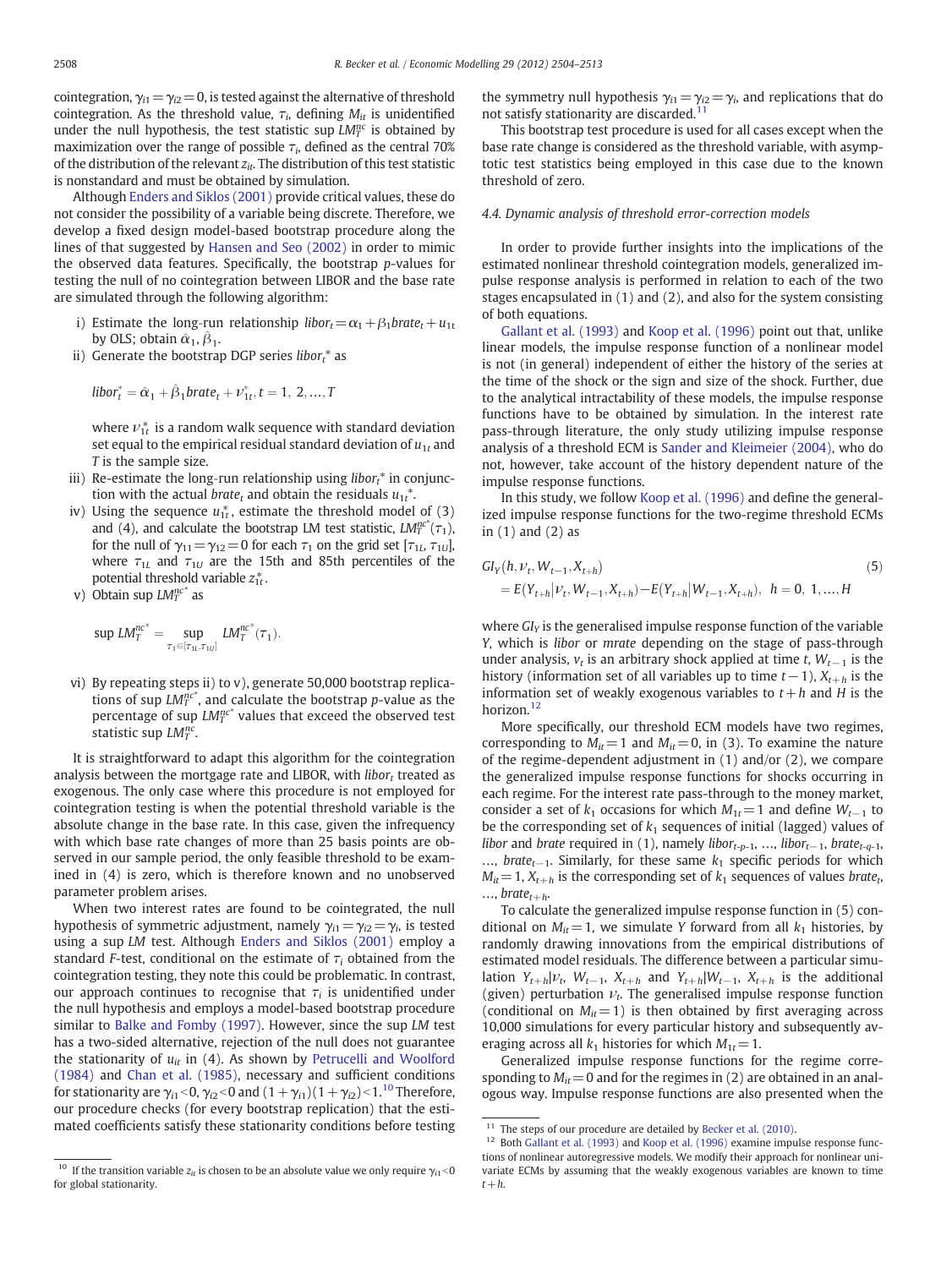<span id="page-4-0"></span>cointegration,  $\gamma_{i1}=\gamma_{i2}=0$ , is tested against the alternative of threshold cointegration. As the threshold value,  $\tau_i$ , defining  $M_{it}$  is unidentified under the null hypothesis, the test statistic sup  $LM_T^{nc}$  is obtained by maximization over the range of possible  $\tau_i$ , defined as the central 70% of the distribution of the relevant  $z_{ir}$ . The distribution of this test statistic is nonstandard and must be obtained by simulation.

Although [Enders and Siklos \(2001\)](#page-9-0) provide critical values, these do not consider the possibility of a variable being discrete. Therefore, we develop a fixed design model-based bootstrap procedure along the lines of that suggested by [Hansen and Seo \(2002\)](#page-9-0) in order to mimic the observed data features. Specifically, the bootstrap p-values for testing the null of no cointegration between LIBOR and the base rate are simulated through the following algorithm:

- i) Estimate the long-run relationship libor $t = \alpha_1 + \beta_1$ brate $t_t + u_{1t}$ by OLS; obtain  $\hat{\alpha}_1$ ,  $\hat{\beta}_1$ .
- ii) Generate the bootstrap DGP series libor $t^*$  as

$$
libor_t^* = \hat{\alpha}_1 + \hat{\beta}_1 brate_t + \nu_{1t}^*, t = 1, 2, ..., T
$$

where  $v_{1t}^*$  is a random walk sequence with standard deviation set equal to the empirical residual standard deviation of  $u_{1t}$  and T is the sample size.

- iii) Re-estimate the long-run relationship using *libor*<sup>\*</sup> in conjunction with the actual brate<sub>t</sub> and obtain the residuals  $u_1t^*$ .
- iv) Using the sequence  $u_{1t}^*$ , estimate the threshold model of (3) and (4), and calculate the bootstrap LM test statistic,  $LM_T^{nc*}(\tau_1)$ , for the null of  $\gamma_{11} = \gamma_{12} = 0$  for each  $\tau_1$  on the grid set  $[\tau_{1L}, \tau_{1U}]$ , where  $\tau_{1}$  and  $\tau_{1}$  are the 15th and 85th percentiles of the potential threshold variable  $z_{1t}^*$ .
- v) Obtain sup  $LM_T^{nc^*}$  as

$$
\sup \textit{LM}_T^{\textit{mc}\,*} = \sup_{\tau_1 \in [\tau_{1L}, \tau_{1U}]} \textit{LM}_T^{\textit{mc}\,*}(\tau_1).
$$

vi) By repeating steps ii) to v), generate 50,000 bootstrap replications of sup  $LM_T^{nc^*}$ , and calculate the bootstrap p-value as the percentage of sup  $LM_T^{nc^*}$  values that exceed the observed test statistic sup  $LM_T^{nc}$ .

It is straightforward to adapt this algorithm for the cointegration analysis between the mortgage rate and LIBOR, with *libor<sub>t</sub>* treated as exogenous. The only case where this procedure is not employed for cointegration testing is when the potential threshold variable is the absolute change in the base rate. In this case, given the infrequency with which base rate changes of more than 25 basis points are observed in our sample period, the only feasible threshold to be examined in (4) is zero, which is therefore known and no unobserved parameter problem arises.

When two interest rates are found to be cointegrated, the null hypothesis of symmetric adjustment, namely  $\gamma_{i1} = \gamma_{i2} = \gamma_i$ , is tested using a sup LM test. Although [Enders and Siklos \(2001\)](#page-9-0) employ a standard F-test, conditional on the estimate of  $\tau_i$  obtained from the cointegration testing, they note this could be problematic. In contrast, our approach continues to recognise that  $\tau_i$  is unidentified under the null hypothesis and employs a model-based bootstrap procedure similar to [Balke and Fomby \(1997\).](#page-9-0) However, since the sup LM test has a two-sided alternative, rejection of the null does not guarantee the stationarity of  $u_{it}$  in (4). As shown by [Petrucelli and Woolford](#page-9-0) [\(1984\)](#page-9-0) and [Chan et al. \(1985\),](#page-9-0) necessary and sufficient conditions for stationarity are  $\gamma_{i1}$  < 0,  $\gamma_{i2}$  < 0 and  $(1+\gamma_{i1})(1+\gamma_{i2})$  < 1.<sup>10</sup> Therefore, our procedure checks (for every bootstrap replication) that the estimated coefficients satisfy these stationarity conditions before testing the symmetry null hypothesis  $\gamma_{i1} = \gamma_{i2} = \gamma_i$ , and replications that do not satisfy stationarity are discarded.<sup>11</sup>

This bootstrap test procedure is used for all cases except when the base rate change is considered as the threshold variable, with asymptotic test statistics being employed in this case due to the known threshold of zero.

#### 4.4. Dynamic analysis of threshold error-correction models

In order to provide further insights into the implications of the estimated nonlinear threshold cointegration models, generalized impulse response analysis is performed in relation to each of the two stages encapsulated in (1) and (2), and also for the system consisting of both equations.

[Gallant et al. \(1993\)](#page-9-0) and [Koop et al. \(1996\)](#page-9-0) point out that, unlike linear models, the impulse response function of a nonlinear model is not (in general) independent of either the history of the series at the time of the shock or the sign and size of the shock. Further, due to the analytical intractability of these models, the impulse response functions have to be obtained by simulation. In the interest rate pass-through literature, the only study utilizing impulse response analysis of a threshold ECM is [Sander and Kleimeier \(2004\),](#page-9-0) who do not, however, take account of the history dependent nature of the impulse response functions.

In this study, we follow [Koop et al. \(1996\)](#page-9-0) and define the generalized impulse response functions for the two-regime threshold ECMs in (1) and (2) as

$$
GI_{Y}(h, \nu_{t}, W_{t-1}, X_{t+h})
$$
\n
$$
= E(Y_{t+h} | \nu_{t}, W_{t-1}, X_{t+h}) - E(Y_{t+h} | W_{t-1}, X_{t+h}), \quad h = 0, 1, ..., H
$$
\n(5)

where  $GI<sub>y</sub>$  is the generalised impulse response function of the variable Y, which is libor or mrate depending on the stage of pass-through under analysis,  $v_t$  is an arbitrary shock applied at time t,  $W_{t-1}$  is the history (information set of all variables up to time  $t-1$ ),  $X_{t+h}$  is the information set of weakly exogenous variables to  $t+h$  and H is the horizon.<sup>12</sup>

More specifically, our threshold ECM models have two regimes, corresponding to  $M_{it}=1$  and  $M_{it}=0$ , in (3). To examine the nature of the regime-dependent adjustment in (1) and/or (2), we compare the generalized impulse response functions for shocks occurring in each regime. For the interest rate pass-through to the money market, consider a set of  $k_1$  occasions for which  $M_{1t}=1$  and define  $W_{t-1}$  to be the corresponding set of  $k_1$  sequences of initial (lagged) values of libor and brate required in (1), namely libor<sub>t-p-1</sub>, ..., libor<sub>t-1</sub>, brate<sub>t-q-1</sub>, ..., brate<sub>t−1</sub>. Similarly, for these same  $k_1$  specific periods for which  $M_{it}=1$ ,  $X_{t+h}$  is the corresponding set of  $k_1$  sequences of values brate<sub>t</sub>,  $...,$  brate<sub>t+h</sub>.

To calculate the generalized impulse response function in (5) conditional on  $M_{it}= 1$ , we simulate Y forward from all  $k_1$  histories, by randomly drawing innovations from the empirical distributions of estimated model residuals. The difference between a particular simulation  $Y_{t+h}|v_t$ ,  $W_{t-1}$ ,  $X_{t+h}$  and  $Y_{t+h}|W_{t-1}$ ,  $X_{t+h}$  is the additional (given) perturbation  $v_t$ . The generalised impulse response function (conditional on  $M_{it}$  = 1) is then obtained by first averaging across 10,000 simulations for every particular history and subsequently averaging across all  $k_1$  histories for which  $M_{1t}=1$ .

Generalized impulse response functions for the regime corresponding to  $M_{it}=0$  and for the regimes in (2) are obtained in an analogous way. Impulse response functions are also presented when the

<sup>&</sup>lt;sup>10</sup> If the transition variable  $z_{it}$  is chosen to be an absolute value we only require  $\gamma_{i1}$ <0 for global stationarity.

 $11$  The steps of our procedure are detailed by [Becker et al. \(2010\)](#page-9-0).

<sup>&</sup>lt;sup>12</sup> Both [Gallant et al. \(1993\)](#page-9-0) and [Koop et al. \(1996\)](#page-9-0) examine impulse response functions of nonlinear autoregressive models. We modify their approach for nonlinear univariate ECMs by assuming that the weakly exogenous variables are known to time  $t+h$ .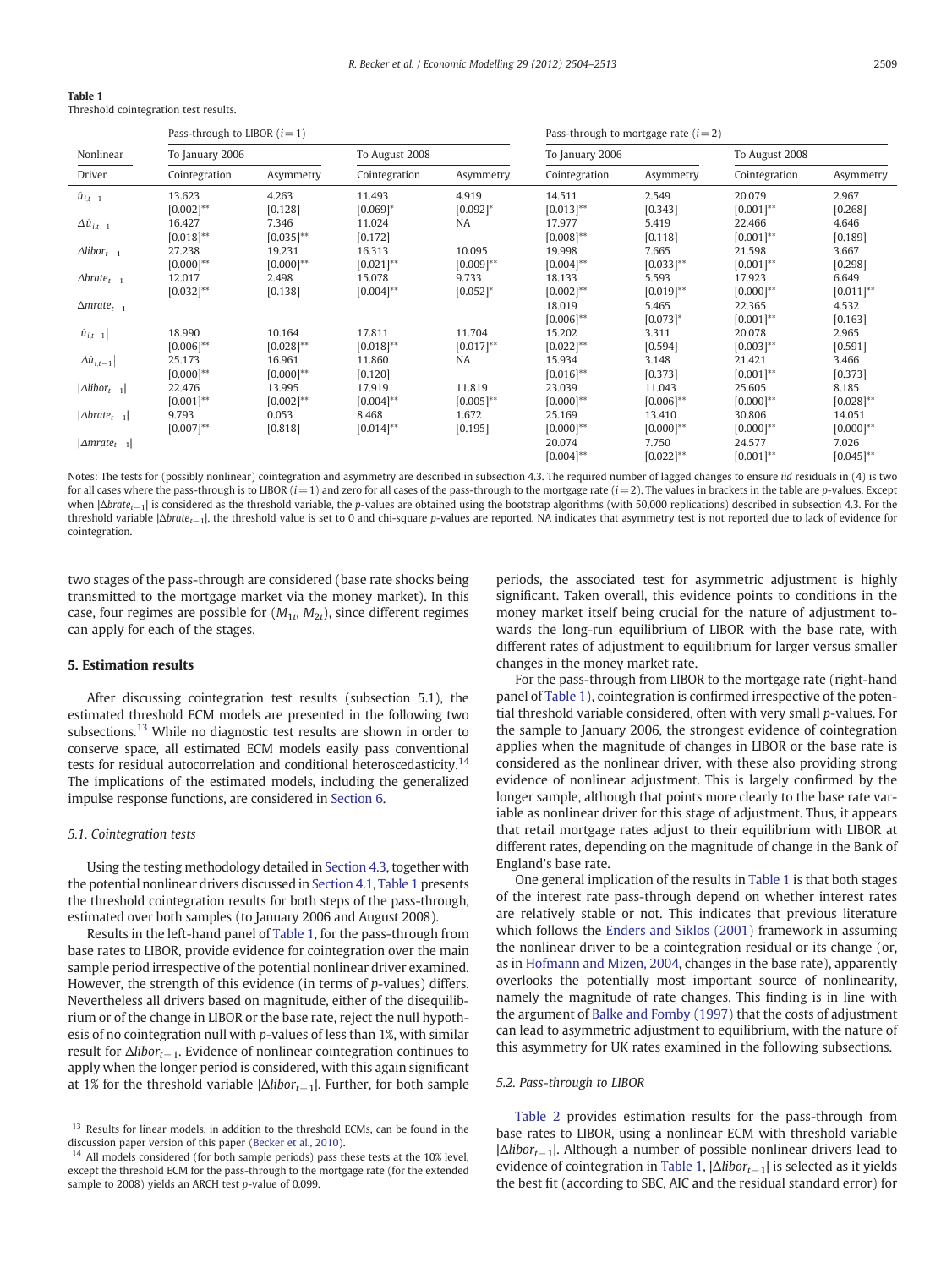<span id="page-5-0"></span>

| Table 1 |                                       |  |
|---------|---------------------------------------|--|
|         | Threshold cointegration test results. |  |

|                                  | Pass-through to LIBOR $(i=1)$ |                |                | Pass-through to mortgage rate $(i=2)$ |                 |                        |                |                |
|----------------------------------|-------------------------------|----------------|----------------|---------------------------------------|-----------------|------------------------|----------------|----------------|
| Nonlinear                        | To January 2006               |                | To August 2008 |                                       | To January 2006 |                        | To August 2008 |                |
| Driver                           | Cointegration                 | Asymmetry      | Cointegration  | Asymmetry                             | Cointegration   | Asymmetry              | Cointegration  | Asymmetry      |
| $\hat{u}_{i,t-1}$                | 13.623                        | 4.263          | 11.493         | 4.919                                 | 14.511          | 2.549                  | 20.079         | 2.967          |
|                                  | $[0.002]^{**}$                | [0.128]        | $[0.069]$ *    | $[0.092]$ *                           | $[0.013]^{**}$  | [0.343]                | $[0.001]^{**}$ | [0.268]        |
| $\Delta\hat{u}_{i,t-1}$          | 16.427                        | 7.346          | 11.024         | <b>NA</b>                             | 17.977          | 5.419                  | 22.466         | 4.646          |
|                                  | $[0.018]^{**}$                | $[0.035]^{**}$ | [0.172]        |                                       | $[0.008]^{**}$  | [0.118]                | $[0.001]^{**}$ | [0.189]        |
| $\Delta$ libor <sub>t-1</sub>    | 27.238                        | 19.231         | 16.313         | 10.095                                | 19.998          | 7.665                  | 21.598         | 3.667          |
|                                  | $[0.000]^{**}$                | $[0.000]^{**}$ | $[0.021]^{**}$ | $[0.009]^{**}$                        | $[0.004]^{**}$  | $[0.033]^{**}$         | $[0.001]^{**}$ | [0.298]        |
| $\triangle$ brate <sub>t-1</sub> | 12.017                        | 2.498          | 15.078         | 9.733                                 | 18.133          | 5.593                  | 17.923         | 6.649          |
|                                  | $[0.032]^{**}$                | [0.138]        | $[0.004]^{**}$ | $[0.052]$ <sup>*</sup>                | $[0.002]^{**}$  | $[0.019]^{**}$         | $[0.000]^{**}$ | $[0.011]^{**}$ |
| $\Delta$ mrate <sub>t-1</sub>    |                               |                |                |                                       | 18.019          | 5.465                  | 22.365         | 4.532          |
|                                  |                               |                |                |                                       | $[0.006]^{**}$  | $[0.073]$ <sup>*</sup> | $[0.001]^{**}$ | [0.163]        |
| $ \hat{u}_{i,t-1} $              | 18.990                        | 10.164         | 17.811         | 11.704                                | 15.202          | 3.311                  | 20.078         | 2.965          |
|                                  | $[0.006]^{**}$                | $[0.028]^{**}$ | $[0.018]^{**}$ | $[0.017]^{**}$                        | $[0.022]^{**}$  | [0.594]                | $[0.003]^{**}$ | [0.591]        |
| $ \Delta \hat{u}_{i,t-1} $       | 25.173                        | 16.961         | 11.860         | <b>NA</b>                             | 15.934          | 3.148                  | 21.421         | 3.466          |
|                                  | $[0.000]^{**}$                | $[0.000]^{**}$ | [0.120]        |                                       | $[0.016]^{**}$  | [0.373]                | $[0.001]^{**}$ | [0.373]        |
| $ \Delta libor_{t-1} $           | 22,476                        | 13.995         | 17.919         | 11.819                                | 23.039          | 11.043                 | 25.605         | 8.185          |
|                                  | $[0.001]^{**}$                | $[0.002]^{**}$ | $[0.004]^{**}$ | $[0.005]^{**}$                        | $[0.000]^{**}$  | $[0.006]^{**}$         | $[0.000]^{**}$ | $[0.028]^{**}$ |
| $ \Delta brate_{t-1} $           | 9.793                         | 0.053          | 8.468          | 1.672                                 | 25.169          | 13,410                 | 30.806         | 14.051         |
|                                  | $[0.007]^{**}$                | [0.818]        | $[0.014]^{**}$ | [0.195]                               | $[0.000]^{**}$  | $[0.000]^{**}$         | $[0.000]^{**}$ | $[0.000]^{**}$ |
| $ \Delta mrate_{t-1} $           |                               |                |                |                                       | 20.074          | 7.750                  | 24.577         | 7.026          |
|                                  |                               |                |                |                                       | $[0.004]^{**}$  | $[0.022]^{**}$         | $[0.001]^{**}$ | $[0.045]^{**}$ |

Notes: The tests for (possibly nonlinear) cointegration and asymmetry are described in subsection 4.3. The required number of lagged changes to ensure iid residuals in (4) is two for all cases where the pass-through is to LIBOR  $(i=1)$  and zero for all cases of the pass-through to the mortgage rate  $(i=2)$ . The values in brackets in the table are p-values. Except when  $|\Delta brate_{t-1}|$  is considered as the threshold variable, the p-values are obtained using the bootstrap algorithms (with 50,000 replications) described in subsection 4.3. For the threshold variable |Δbrate<sub>t−1</sub>|, the threshold value is set to 0 and chi-square p-values are reported. NA indicates that asymmetry test is not reported due to lack of evidence for cointegration.

two stages of the pass-through are considered (base rate shocks being transmitted to the mortgage market via the money market). In this case, four regimes are possible for  $(M_{1t}, M_{2t})$ , since different regimes can apply for each of the stages.

### 5. Estimation results

After discussing cointegration test results (subsection 5.1), the estimated threshold ECM models are presented in the following two subsections.<sup>13</sup> While no diagnostic test results are shown in order to conserve space, all estimated ECM models easily pass conventional tests for residual autocorrelation and conditional heteroscedasticity.<sup>14</sup> The implications of the estimated models, including the generalized impulse response functions, are considered in [Section 6.](#page-7-0)

#### 5.1. Cointegration tests

Using the testing methodology detailed in [Section 4.3,](#page-3-0) together with the potential nonlinear drivers discussed in [Section 4.1](#page-2-0), Table 1 presents the threshold cointegration results for both steps of the pass-through, estimated over both samples (to January 2006 and August 2008).

Results in the left-hand panel of Table 1, for the pass-through from base rates to LIBOR, provide evidence for cointegration over the main sample period irrespective of the potential nonlinear driver examined. However, the strength of this evidence (in terms of p-values) differs. Nevertheless all drivers based on magnitude, either of the disequilibrium or of the change in LIBOR or the base rate, reject the null hypothesis of no cointegration null with p-values of less than 1%, with similar result for Δlibor<sub>t−1</sub>. Evidence of nonlinear cointegration continues to apply when the longer period is considered, with this again significant at 1% for the threshold variable  $|\Delta libor_{t-1}|$ . Further, for both sample periods, the associated test for asymmetric adjustment is highly significant. Taken overall, this evidence points to conditions in the money market itself being crucial for the nature of adjustment towards the long‐run equilibrium of LIBOR with the base rate, with different rates of adjustment to equilibrium for larger versus smaller changes in the money market rate.

For the pass-through from LIBOR to the mortgage rate (right-hand panel of Table 1), cointegration is confirmed irrespective of the potential threshold variable considered, often with very small p-values. For the sample to January 2006, the strongest evidence of cointegration applies when the magnitude of changes in LIBOR or the base rate is considered as the nonlinear driver, with these also providing strong evidence of nonlinear adjustment. This is largely confirmed by the longer sample, although that points more clearly to the base rate variable as nonlinear driver for this stage of adjustment. Thus, it appears that retail mortgage rates adjust to their equilibrium with LIBOR at different rates, depending on the magnitude of change in the Bank of England's base rate.

One general implication of the results in Table 1 is that both stages of the interest rate pass-through depend on whether interest rates are relatively stable or not. This indicates that previous literature which follows the [Enders and Siklos \(2001\)](#page-9-0) framework in assuming the nonlinear driver to be a cointegration residual or its change (or, as in [Hofmann and Mizen, 2004,](#page-9-0) changes in the base rate), apparently overlooks the potentially most important source of nonlinearity, namely the magnitude of rate changes. This finding is in line with the argument of [Balke and Fomby \(1997\)](#page-9-0) that the costs of adjustment can lead to asymmetric adjustment to equilibrium, with the nature of this asymmetry for UK rates examined in the following subsections.

#### 5.2. Pass-through to LIBOR

[Table 2](#page-6-0) provides estimation results for the pass-through from base rates to LIBOR, using a nonlinear ECM with threshold variable |∆libor<sub>t−1</sub>|. Although a number of possible nonlinear drivers lead to evidence of cointegration in Table 1, |∆libor<sub>t−1</sub>| is selected as it yields the best fit (according to SBC, AIC and the residual standard error) for

<sup>&</sup>lt;sup>13</sup> Results for linear models, in addition to the threshold ECMs, can be found in the discussion paper version of this paper [\(Becker et al., 2010\)](#page-9-0).

<sup>&</sup>lt;sup>14</sup> All models considered (for both sample periods) pass these tests at the 10% level, except the threshold ECM for the pass-through to the mortgage rate (for the extended sample to 2008) yields an ARCH test p-value of 0.099.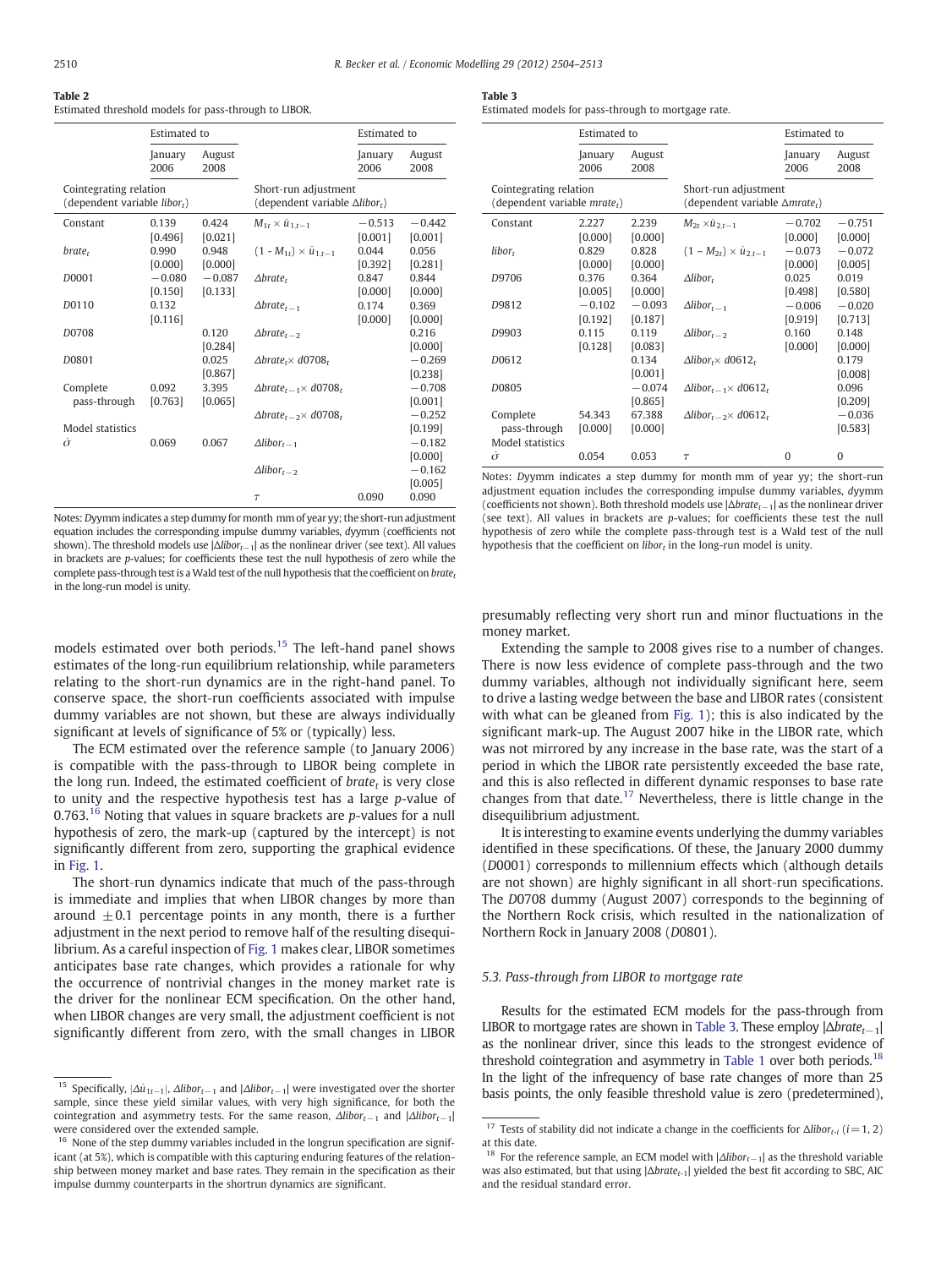#### <span id="page-6-0"></span>Table 2

Estimated threshold models for pass-through to LIBOR.

|                                                                          | Estimated to    |                |                                                                | Estimated to    |                |  |
|--------------------------------------------------------------------------|-----------------|----------------|----------------------------------------------------------------|-----------------|----------------|--|
|                                                                          | January<br>2006 | August<br>2008 |                                                                | January<br>2006 | August<br>2008 |  |
| Cointegrating relation<br>(dependent variable <i>libor<sub>t</sub></i> ) |                 |                | Short-run adjustment<br>(dependent variable $\Delta libor_t$ ) |                 |                |  |
| Constant                                                                 | 0.139           | 0.424          | $M_{1t} \times \hat{u}_{1,t-1}$                                | $-0.513$        | $-0.442$       |  |
|                                                                          | [0.496]         | [0.021]        |                                                                | [0.001]         | [0.001]        |  |
| brate <sub>t</sub>                                                       | 0.990           | 0.948          | $(1 - M_{1t}) \times \hat{u}_{1,t-1}$                          | 0.044           | 0.056          |  |
|                                                                          | [0.000]         | [0.000]        |                                                                | [0.392]         | [0.281]        |  |
| D0001                                                                    | $-0.080$        | $-0.087$       | $\triangle$ brate,                                             | 0.847           | 0.844          |  |
|                                                                          | [0.150]         | [0.133]        |                                                                | [0.000]         | [0.000]        |  |
| D0110                                                                    | 0.132           |                | $\triangle brate_{t-1}$                                        | 0.174           | 0.369          |  |
|                                                                          | [0.116]         |                |                                                                | [0.000]         | [0.000]        |  |
| D0708                                                                    |                 | 0.120          | $\triangle brate_{t-2}$                                        |                 | 0.216          |  |
|                                                                          |                 | [0.284]        |                                                                |                 | [0.000]        |  |
| D0801                                                                    |                 | 0.025          | $\Delta brate_t \times d0708_t$                                |                 | $-0.269$       |  |
|                                                                          |                 | [0.867]        |                                                                |                 | [0.238]        |  |
| Complete                                                                 | 0.092           | 3.395          | $\Delta brate_{t-1} \times d0708_t$                            |                 | $-0.708$       |  |
| pass-through                                                             | [0.763]         | [0.065]        |                                                                |                 | [0.001]        |  |
|                                                                          |                 |                | $\Delta brate_{t-2} \times d0708_t$                            |                 | $-0.252$       |  |
| Model statistics                                                         |                 |                |                                                                |                 | [0.199]        |  |
| Ô                                                                        | 0.069           | 0.067          | $\Delta$ libor <sub>t-1</sub>                                  |                 | $-0.182$       |  |
|                                                                          |                 |                |                                                                |                 | [0.000]        |  |
|                                                                          |                 |                | $\Delta$ libor <sub>t – 2</sub>                                |                 | $-0.162$       |  |
|                                                                          |                 |                |                                                                |                 | [0.005]        |  |
|                                                                          |                 |                | $\tau$                                                         | 0.090           | 0.090          |  |

Notes: Dyymm indicates a step dummy for month mm of year yy; the short-run adjustment equation includes the corresponding impulse dummy variables, dyymm (coefficients not shown). The threshold models use  $|\Delta libor_{t-1}|$  as the nonlinear driver (see text). All values in brackets are p-values; for coefficients these test the null hypothesis of zero while the complete pass-through test is a Wald test of the null hypothesis that the coefficient on  $brate_t$ in the long-run model is unity.

models estimated over both periods.<sup>15</sup> The left-hand panel shows estimates of the long‐run equilibrium relationship, while parameters relating to the short‐run dynamics are in the right-hand panel. To conserve space, the short‐run coefficients associated with impulse dummy variables are not shown, but these are always individually significant at levels of significance of 5% or (typically) less.

The ECM estimated over the reference sample (to January 2006) is compatible with the pass-through to LIBOR being complete in the long run. Indeed, the estimated coefficient of  $brace$  is very close to unity and the respective hypothesis test has a large p-value of 0.763.<sup>16</sup> Noting that values in square brackets are *p*-values for a null hypothesis of zero, the mark-up (captured by the intercept) is not significantly different from zero, supporting the graphical evidence in [Fig. 1.](#page-2-0)

The short-run dynamics indicate that much of the pass-through is immediate and implies that when LIBOR changes by more than around  $\pm$  0.1 percentage points in any month, there is a further adjustment in the next period to remove half of the resulting disequilibrium. As a careful inspection of [Fig. 1](#page-2-0) makes clear, LIBOR sometimes anticipates base rate changes, which provides a rationale for why the occurrence of nontrivial changes in the money market rate is the driver for the nonlinear ECM specification. On the other hand, when LIBOR changes are very small, the adjustment coefficient is not significantly different from zero, with the small changes in LIBOR

Estimated models for pass-through to mortgage rate.

|                                                                    | Estimated to    |                |                                                                 | Estimated to    |                |  |
|--------------------------------------------------------------------|-----------------|----------------|-----------------------------------------------------------------|-----------------|----------------|--|
|                                                                    | January<br>2006 | August<br>2008 |                                                                 | January<br>2006 | August<br>2008 |  |
| Cointegrating relation<br>(dependent variable mrate <sub>t</sub> ) |                 |                | Short-run adjustment<br>(dependent variable $\Delta m rate_t$ ) |                 |                |  |
| Constant                                                           | 2.227           | 2.239          | $M_{2t} \times \hat{u}_{2,t-1}$                                 | $-0.702$        | $-0.751$       |  |
|                                                                    | [0.000]         | [0.000]        |                                                                 | [0.000]         | [0.000]        |  |
| $libor_t$                                                          | 0.829           | 0.828          | $(1 - M_{2t}) \times \hat{u}_{2,t-1}$                           | $-0.073$        | $-0.072$       |  |
|                                                                    | [0.000]         | [0.000]        |                                                                 | [0.000]         | [0.005]        |  |
| D9706                                                              | 0.376           | 0.364          | $\Delta$ libor <sub>t</sub>                                     | 0.025           | 0.019          |  |
|                                                                    | [0.005]         | [0.000]        |                                                                 | [0.498]         | [0.580]        |  |
| D9812                                                              | $-0.102$        | $-0.093$       | $\Delta$ libor <sub>t—1</sub>                                   | $-0.006$        | $-0.020$       |  |
|                                                                    | [0.192]         | [0.187]        |                                                                 | [0.919]         | [0.713]        |  |
| D9903                                                              | 0.115           | 0.119          | $\Delta$ libor <sub>t—2</sub>                                   | 0.160           | 0.148          |  |
|                                                                    | [0.128]         | [0.083]        |                                                                 | [0.000]         | [0.000]        |  |
| D0612                                                              |                 | 0.134          | $\Delta$ libor <sub>t</sub> $\times$ d0612 <sub>t</sub>         |                 | 0.179          |  |
|                                                                    |                 | [0.001]        |                                                                 |                 | [0.008]        |  |
| D0805                                                              |                 | $-0.074$       | $\Delta$ libor <sub>t – 1</sub> $\times$ d0612 <sub>t</sub>     |                 | 0.096          |  |
|                                                                    |                 | [0.865]        |                                                                 |                 | [0.209]        |  |
| Complete                                                           | 54.343          | 67.388         | $\Delta$ libor <sub>t – 2</sub> $\times$ d0612 <sub>t</sub>     |                 | $-0.036$       |  |
| pass-through                                                       | [0.000]         | [0.000]        |                                                                 |                 | [0.583]        |  |
| Model statistics                                                   |                 |                |                                                                 |                 |                |  |
| ô                                                                  | 0.054           | 0.053          | $\tau$                                                          | $\Omega$        | $\Omega$       |  |

Notes: Dyymm indicates a step dummy for month mm of year yy; the short-run adjustment equation includes the corresponding impulse dummy variables, dyymm (coefficients not shown). Both threshold models use  $|\Delta brate_{t-1}|$  as the nonlinear driver (see text). All values in brackets are p-values; for coefficients these test the null hypothesis of zero while the complete pass-through test is a Wald test of the null hypothesis that the coefficient on  $libor_t$  in the long-run model is unity.

presumably reflecting very short run and minor fluctuations in the money market.

Extending the sample to 2008 gives rise to a number of changes. There is now less evidence of complete pass-through and the two dummy variables, although not individually significant here, seem to drive a lasting wedge between the base and LIBOR rates (consistent with what can be gleaned from [Fig. 1](#page-2-0)); this is also indicated by the significant mark-up. The August 2007 hike in the LIBOR rate, which was not mirrored by any increase in the base rate, was the start of a period in which the LIBOR rate persistently exceeded the base rate, and this is also reflected in different dynamic responses to base rate changes from that date.<sup>17</sup> Nevertheless, there is little change in the disequilibrium adjustment.

It is interesting to examine events underlying the dummy variables identified in these specifications. Of these, the January 2000 dummy (D0001) corresponds to millennium effects which (although details are not shown) are highly significant in all short-run specifications. The D0708 dummy (August 2007) corresponds to the beginning of the Northern Rock crisis, which resulted in the nationalization of Northern Rock in January 2008 (D0801).

#### 5.3. Pass-through from LIBOR to mortgage rate

Results for the estimated ECM models for the pass-through from LIBOR to mortgage rates are shown in Table 3. These employ  $|\Delta brate_{t-1}|$ as the nonlinear driver, since this leads to the strongest evidence of threshold cointegration and asymmetry in [Table 1](#page-5-0) over both periods.<sup>18</sup> In the light of the infrequency of base rate changes of more than 25 <sup>15</sup> Specifically,  $|\Delta \hat{u}_{1t-1}|$ ,  $\Delta \hat{u}_{1t-1}$  and  $|\Delta \hat{u}_{0t-1}|$  were investigated over the shorter basis points, the only feasible threshold value is zero (predetermined),

sample, since these yield similar values, with very high significance, for both the cointegration and asymmetry tests. For the same reason,  $\Delta libor_{t-1}$  and  $|\Delta libor_{t-1}|$ were considered over the extended sample.

 $16$  None of the step dummy variables included in the longrun specification are significant (at 5%), which is compatible with this capturing enduring features of the relationship between money market and base rates. They remain in the specification as their impulse dummy counterparts in the shortrun dynamics are significant.

<sup>&</sup>lt;sup>17</sup> Tests of stability did not indicate a change in the coefficients for  $\Delta libor_{t-i}$  (i=1, 2) at this date.

<sup>&</sup>lt;sup>18</sup> For the reference sample, an ECM model with  $|\Delta libor_{t-1}|$  as the threshold variable was also estimated, but that using  $|\Delta brate_{t-1}|$  yielded the best fit according to SBC, AIC and the residual standard error.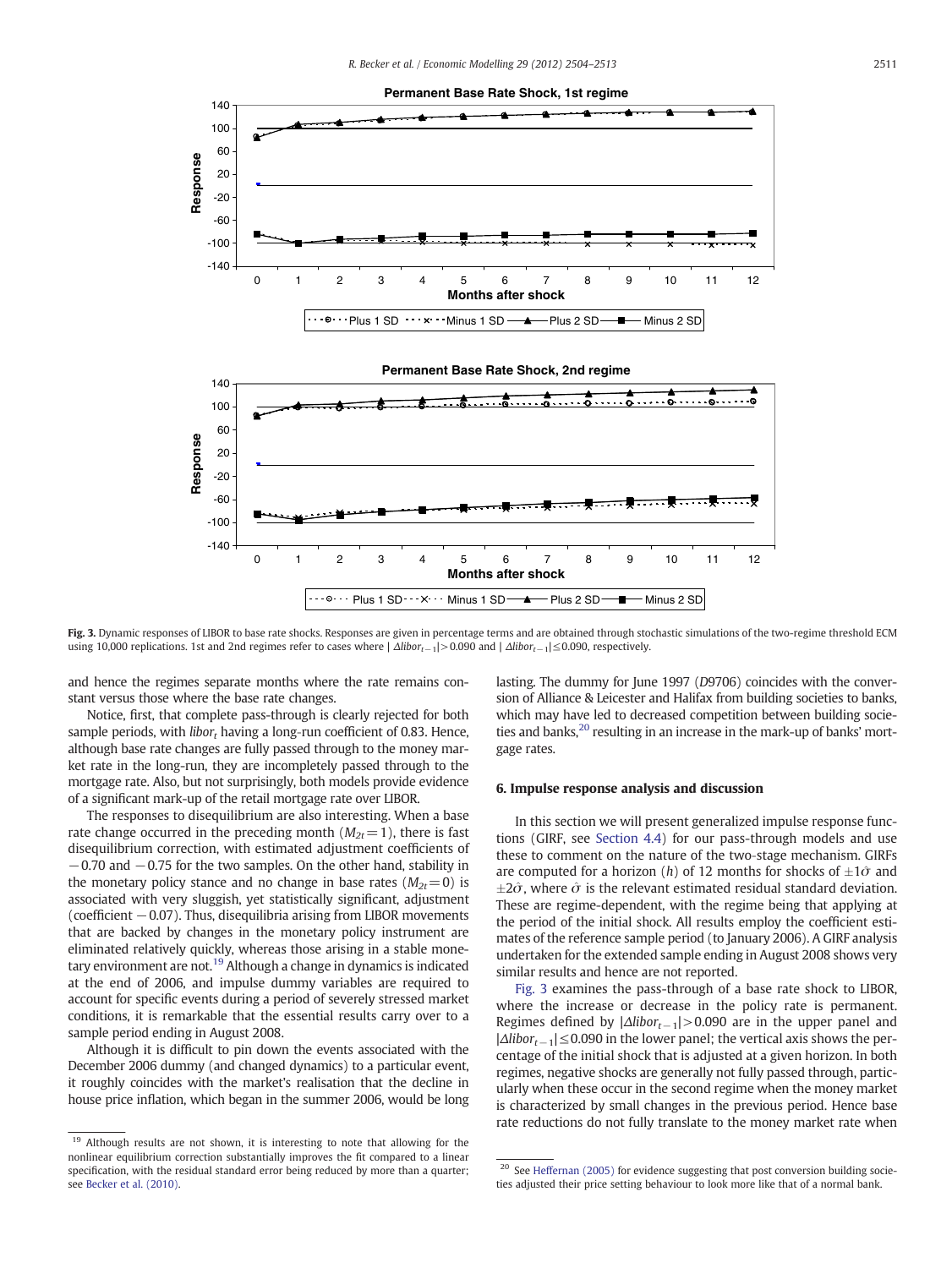<span id="page-7-0"></span>

Fig. 3. Dynamic responses of LIBOR to base rate shocks. Responses are given in percentage terms and are obtained through stochastic simulations of the two-regime threshold ECM using 10,000 replications. 1st and 2nd regimes refer to cases where  $\vert \Delta libor_{t-1}\vert > 0.090$  and  $\vert \Delta libor_{t-1}\vert \leq 0.090$ , respectively.

and hence the regimes separate months where the rate remains constant versus those where the base rate changes.

Notice, first, that complete pass-through is clearly rejected for both sample periods, with *libor<sub>t</sub>* having a long-run coefficient of 0.83. Hence, although base rate changes are fully passed through to the money market rate in the long-run, they are incompletely passed through to the mortgage rate. Also, but not surprisingly, both models provide evidence of a significant mark-up of the retail mortgage rate over LIBOR.

The responses to disequilibrium are also interesting. When a base rate change occurred in the preceding month  $(M_{2t}=1)$ , there is fast disequilibrium correction, with estimated adjustment coefficients of  $-0.70$  and  $-0.75$  for the two samples. On the other hand, stability in the monetary policy stance and no change in base rates  $(M_{2t}=0)$  is associated with very sluggish, yet statistically significant, adjustment (coefficient −0.07). Thus, disequilibria arising from LIBOR movements that are backed by changes in the monetary policy instrument are eliminated relatively quickly, whereas those arising in a stable monetary environment are not.<sup>19</sup> Although a change in dynamics is indicated at the end of 2006, and impulse dummy variables are required to account for specific events during a period of severely stressed market conditions, it is remarkable that the essential results carry over to a sample period ending in August 2008.

Although it is difficult to pin down the events associated with the December 2006 dummy (and changed dynamics) to a particular event, it roughly coincides with the market's realisation that the decline in house price inflation, which began in the summer 2006, would be long lasting. The dummy for June 1997 (D9706) coincides with the conversion of Alliance & Leicester and Halifax from building societies to banks, which may have led to decreased competition between building societies and banks, $20$  resulting in an increase in the mark-up of banks' mortgage rates.

#### 6. Impulse response analysis and discussion

In this section we will present generalized impulse response functions (GIRF, see [Section 4.4\)](#page-4-0) for our pass-through models and use these to comment on the nature of the two‐stage mechanism. GIRFs are computed for a horizon (h) of 12 months for shocks of  $\pm 1\hat{\sigma}$  and  $\pm 2\hat{\sigma}$ , where  $\hat{\sigma}$  is the relevant estimated residual standard deviation. These are regime-dependent, with the regime being that applying at the period of the initial shock. All results employ the coefficient estimates of the reference sample period (to January 2006). A GIRF analysis undertaken for the extended sample ending in August 2008 shows very similar results and hence are not reported.

Fig. 3 examines the pass-through of a base rate shock to LIBOR, where the increase or decrease in the policy rate is permanent. Regimes defined by  $|\Delta libor_{t-1}|>0.090$  are in the upper panel and  $|\Delta libor_{t-1}| \leq 0.090$  in the lower panel; the vertical axis shows the percentage of the initial shock that is adjusted at a given horizon. In both regimes, negative shocks are generally not fully passed through, particularly when these occur in the second regime when the money market is characterized by small changes in the previous period. Hence base rate reductions do not fully translate to the money market rate when

<sup>&</sup>lt;sup>19</sup> Although results are not shown, it is interesting to note that allowing for the nonlinear equilibrium correction substantially improves the fit compared to a linear specification, with the residual standard error being reduced by more than a quarter; see [Becker et al. \(2010\).](#page-9-0)

<sup>&</sup>lt;sup>20</sup> See [Heffernan \(2005\)](#page-9-0) for evidence suggesting that post conversion building societies adjusted their price setting behaviour to look more like that of a normal bank.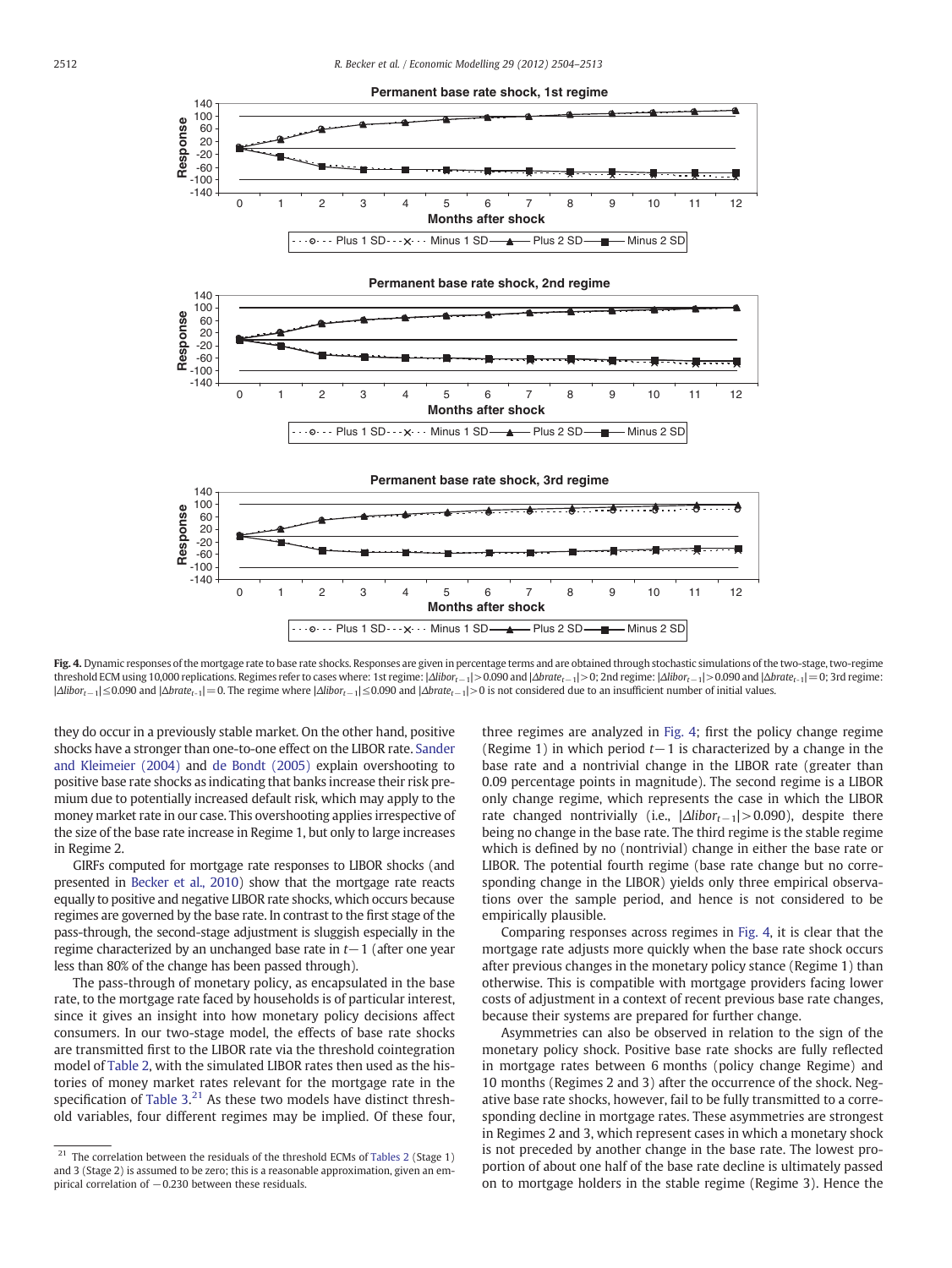<span id="page-8-0"></span>

Fig. 4. Dynamic responses of the mortgage rate to base rate shocks. Responses are given in percentage terms and are obtained through stochastic simulations of the two-stage, two-regime threshold ECM using 10,000 replications. Regimes refer to cases where: 1st regime: | $\Delta libor_{t-1}$ |>0.090 and  $\Delta brate_{t-1}$ |>0; 2nd regime: | $\Delta libor_{t-1}$ |>0.090 and  $\Delta brate_{t-1}$ | = 0; 3rd regime:  $|\Delta libor_{t-1}| \leq 0.090$  and  $|\Delta brate_{t-1}| = 0$ . The regime where  $|\Delta libor_{t-1}| \leq 0.090$  and  $|\Delta brate_{t-1}| > 0$  is not considered due to an insufficient number of initial values.

they do occur in a previously stable market. On the other hand, positive shocks have a stronger than one-to-one effect on the LIBOR rate. [Sander](#page-9-0) [and Kleimeier \(2004\)](#page-9-0) and [de Bondt \(2005\)](#page-9-0) explain overshooting to positive base rate shocks as indicating that banks increase their risk premium due to potentially increased default risk, which may apply to the money market rate in our case. This overshooting applies irrespective of the size of the base rate increase in Regime 1, but only to large increases in Regime 2.

GIRFs computed for mortgage rate responses to LIBOR shocks (and presented in [Becker et al., 2010](#page-9-0)) show that the mortgage rate reacts equally to positive and negative LIBOR rate shocks, which occurs because regimes are governed by the base rate. In contrast to the first stage of the pass-through, the second-stage adjustment is sluggish especially in the regime characterized by an unchanged base rate in  $t-1$  (after one year less than 80% of the change has been passed through).

The pass-through of monetary policy, as encapsulated in the base rate, to the mortgage rate faced by households is of particular interest, since it gives an insight into how monetary policy decisions affect consumers. In our two-stage model, the effects of base rate shocks are transmitted first to the LIBOR rate via the threshold cointegration model of [Table 2](#page-6-0), with the simulated LIBOR rates then used as the histories of money market rates relevant for the mortgage rate in the specification of Table  $3<sup>21</sup>$  As these two models have distinct threshold variables, four different regimes may be implied. Of these four, three regimes are analyzed in Fig. 4; first the policy change regime (Regime 1) in which period  $t-1$  is characterized by a change in the base rate and a nontrivial change in the LIBOR rate (greater than 0.09 percentage points in magnitude). The second regime is a LIBOR only change regime, which represents the case in which the LIBOR rate changed nontrivially (i.e.,  $|\Delta libor_{t-1}| > 0.090$ ), despite there being no change in the base rate. The third regime is the stable regime which is defined by no (nontrivial) change in either the base rate or LIBOR. The potential fourth regime (base rate change but no corresponding change in the LIBOR) yields only three empirical observations over the sample period, and hence is not considered to be empirically plausible.

Comparing responses across regimes in Fig. 4, it is clear that the mortgage rate adjusts more quickly when the base rate shock occurs after previous changes in the monetary policy stance (Regime 1) than otherwise. This is compatible with mortgage providers facing lower costs of adjustment in a context of recent previous base rate changes, because their systems are prepared for further change.

Asymmetries can also be observed in relation to the sign of the monetary policy shock. Positive base rate shocks are fully reflected in mortgage rates between 6 months (policy change Regime) and 10 months (Regimes 2 and 3) after the occurrence of the shock. Negative base rate shocks, however, fail to be fully transmitted to a corresponding decline in mortgage rates. These asymmetries are strongest in Regimes 2 and 3, which represent cases in which a monetary shock is not preceded by another change in the base rate. The lowest proportion of about one half of the base rate decline is ultimately passed on to mortgage holders in the stable regime (Regime 3). Hence the

 $^{21}$  The correlation between the residuals of the threshold ECMs of [Tables 2](#page-6-0) (Stage 1) and 3 (Stage 2) is assumed to be zero; this is a reasonable approximation, given an empirical correlation of −0.230 between these residuals.